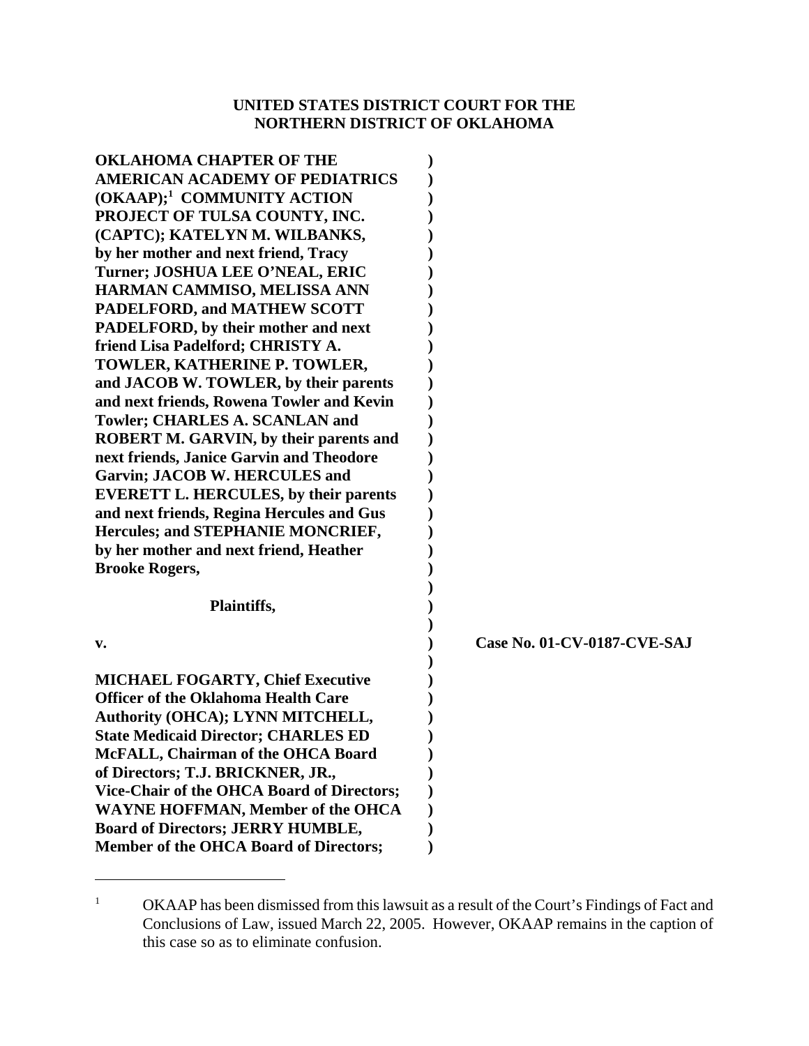## **UNITED STATES DISTRICT COURT FOR THE NORTHERN DISTRICT OF OKLAHOMA**

| <b>OKLAHOMA CHAPTER OF THE</b><br><b>AMERICAN ACADEMY OF PEDIATRICS</b><br>(OKAAP); <sup>1</sup> COMMUNITY ACTION<br>PROJECT OF TULSA COUNTY, INC.<br>(CAPTC); KATELYN M. WILBANKS,<br>by her mother and next friend, Tracy<br>Turner; JOSHUA LEE O'NEAL, ERIC                                                                                                                                                                            |                             |
|-------------------------------------------------------------------------------------------------------------------------------------------------------------------------------------------------------------------------------------------------------------------------------------------------------------------------------------------------------------------------------------------------------------------------------------------|-----------------------------|
| HARMAN CAMMISO, MELISSA ANN<br>PADELFORD, and MATHEW SCOTT<br>PADELFORD, by their mother and next<br>friend Lisa Padelford; CHRISTY A.<br>TOWLER, KATHERINE P. TOWLER,                                                                                                                                                                                                                                                                    |                             |
| and JACOB W. TOWLER, by their parents<br>and next friends, Rowena Towler and Kevin<br>Towler; CHARLES A. SCANLAN and<br><b>ROBERT M. GARVIN, by their parents and</b><br>next friends, Janice Garvin and Theodore<br>Garvin; JACOB W. HERCULES and                                                                                                                                                                                        |                             |
| <b>EVERETT L. HERCULES, by their parents</b><br>and next friends, Regina Hercules and Gus<br>Hercules; and STEPHANIE MONCRIEF,<br>by her mother and next friend, Heather<br><b>Brooke Rogers,</b>                                                                                                                                                                                                                                         |                             |
| Plaintiffs,                                                                                                                                                                                                                                                                                                                                                                                                                               |                             |
| v.                                                                                                                                                                                                                                                                                                                                                                                                                                        | Case No. 01-CV-0187-CVE-SAJ |
| <b>MICHAEL FOGARTY, Chief Executive</b><br><b>Officer of the Oklahoma Health Care</b><br>Authority (OHCA); LYNN MITCHELL,<br><b>State Medicaid Director; CHARLES ED</b><br>McFALL, Chairman of the OHCA Board<br>of Directors; T.J. BRICKNER, JR.,<br>Vice-Chair of the OHCA Board of Directors;<br><b>WAYNE HOFFMAN, Member of the OHCA</b><br><b>Board of Directors; JERRY HUMBLE,</b><br><b>Member of the OHCA Board of Directors;</b> |                             |

<sup>&</sup>lt;sup>1</sup> OKAAP has been dismissed from this lawsuit as a result of the Court's Findings of Fact and Conclusions of Law, issued March 22, 2005. However, OKAAP remains in the caption of this case so as to eliminate confusion.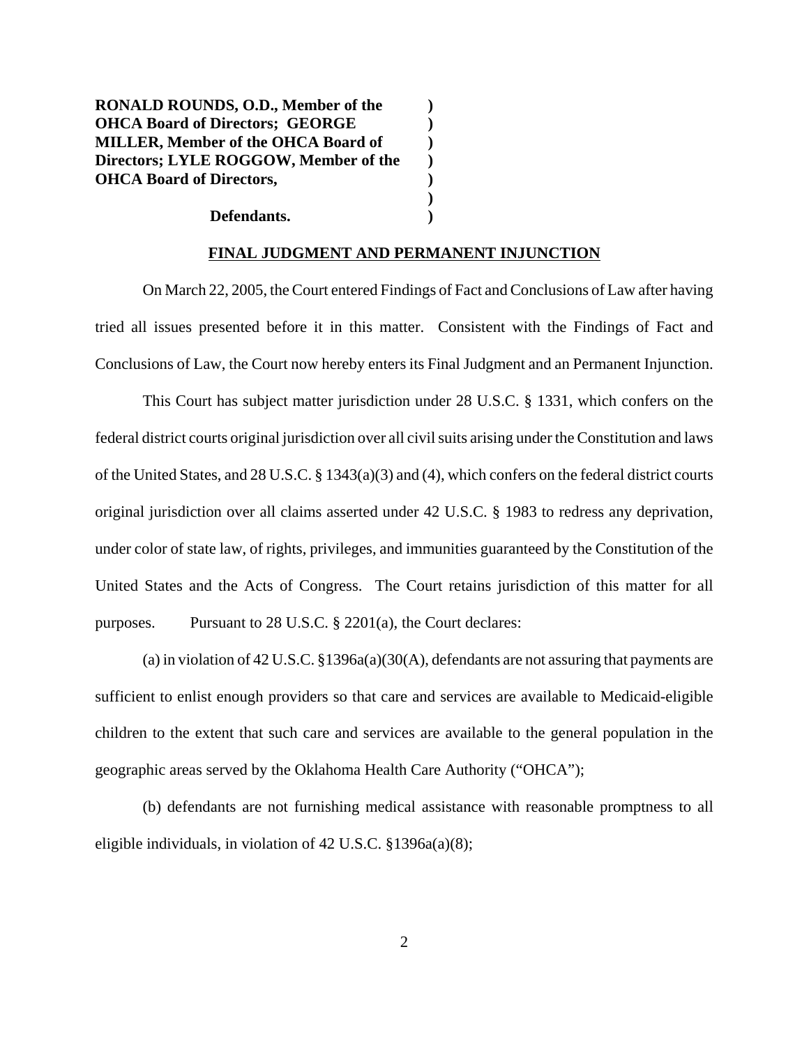**RONALD ROUNDS, O.D., Member of the ) OHCA Board of Directors; GEORGE ) MILLER, Member of the OHCA Board of ) Directors; LYLE ROGGOW, Member of the ) OHCA Board of Directors, )**

## **Defendants. )**

## **FINAL JUDGMENT AND PERMANENT INJUNCTION**

**)**

On March 22, 2005, the Court entered Findings of Fact and Conclusions of Law after having tried all issues presented before it in this matter. Consistent with the Findings of Fact and Conclusions of Law, the Court now hereby enters its Final Judgment and an Permanent Injunction.

This Court has subject matter jurisdiction under 28 U.S.C. § 1331, which confers on the federal district courts original jurisdiction over all civil suits arising under the Constitution and laws of the United States, and 28 U.S.C. § 1343(a)(3) and (4), which confers on the federal district courts original jurisdiction over all claims asserted under 42 U.S.C. § 1983 to redress any deprivation, under color of state law, of rights, privileges, and immunities guaranteed by the Constitution of the United States and the Acts of Congress. The Court retains jurisdiction of this matter for all purposes. Pursuant to 28 U.S.C. § 2201(a), the Court declares:

(a) in violation of 42 U.S.C. §1396a(a)(30(A), defendants are not assuring that payments are sufficient to enlist enough providers so that care and services are available to Medicaid-eligible children to the extent that such care and services are available to the general population in the geographic areas served by the Oklahoma Health Care Authority ("OHCA");

(b) defendants are not furnishing medical assistance with reasonable promptness to all eligible individuals, in violation of 42 U.S.C. §1396a(a)(8);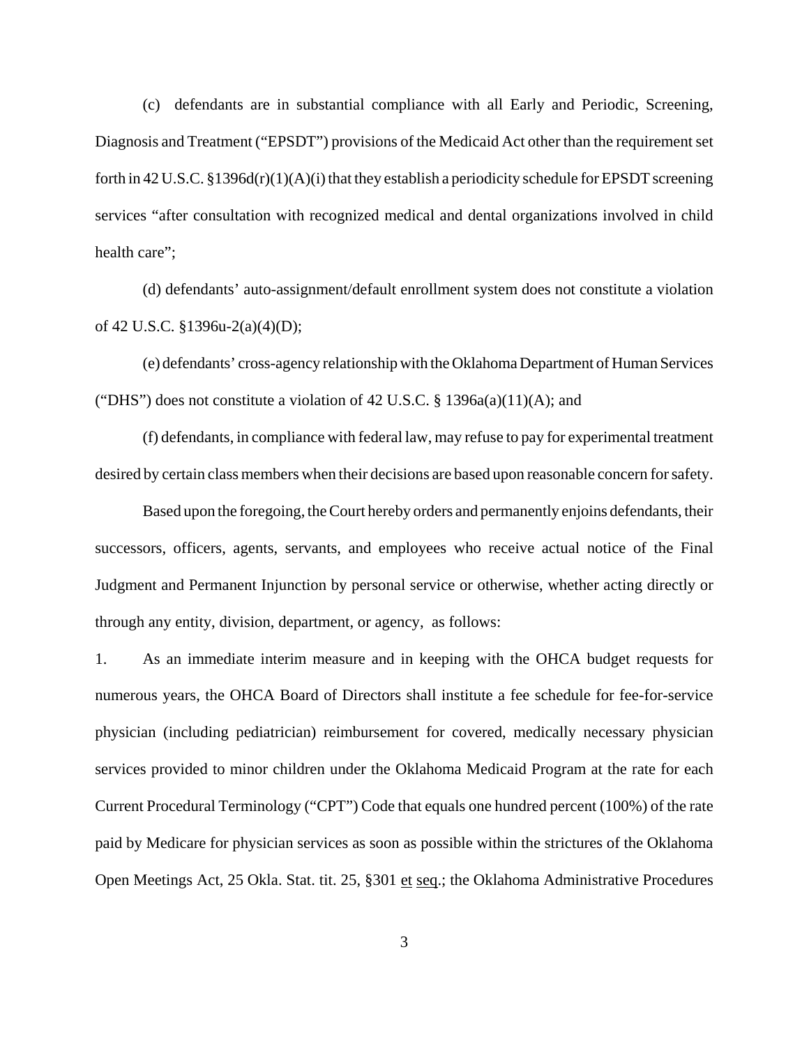(c) defendants are in substantial compliance with all Early and Periodic, Screening, Diagnosis and Treatment ("EPSDT") provisions of the Medicaid Act other than the requirement set forth in 42 U.S.C. §1396d(r)(1)(A)(i) that they establish a periodicity schedule for EPSDT screening services "after consultation with recognized medical and dental organizations involved in child health care";

(d) defendants' auto-assignment/default enrollment system does not constitute a violation of 42 U.S.C. §1396u-2(a)(4)(D);

(e) defendants' cross-agency relationship with the Oklahoma Department of Human Services ("DHS") does not constitute a violation of 42 U.S.C.  $\S$  1396a(a)(11)(A); and

(f) defendants, in compliance with federal law, may refuse to pay for experimental treatment desired by certain class members when their decisions are based upon reasonable concern for safety.

Based upon the foregoing, the Court hereby orders and permanently enjoins defendants, their successors, officers, agents, servants, and employees who receive actual notice of the Final Judgment and Permanent Injunction by personal service or otherwise, whether acting directly or through any entity, division, department, or agency, as follows:

1. As an immediate interim measure and in keeping with the OHCA budget requests for numerous years, the OHCA Board of Directors shall institute a fee schedule for fee-for-service physician (including pediatrician) reimbursement for covered, medically necessary physician services provided to minor children under the Oklahoma Medicaid Program at the rate for each Current Procedural Terminology ("CPT") Code that equals one hundred percent (100%) of the rate paid by Medicare for physician services as soon as possible within the strictures of the Oklahoma Open Meetings Act, 25 Okla. Stat. tit. 25, §301 et seq.; the Oklahoma Administrative Procedures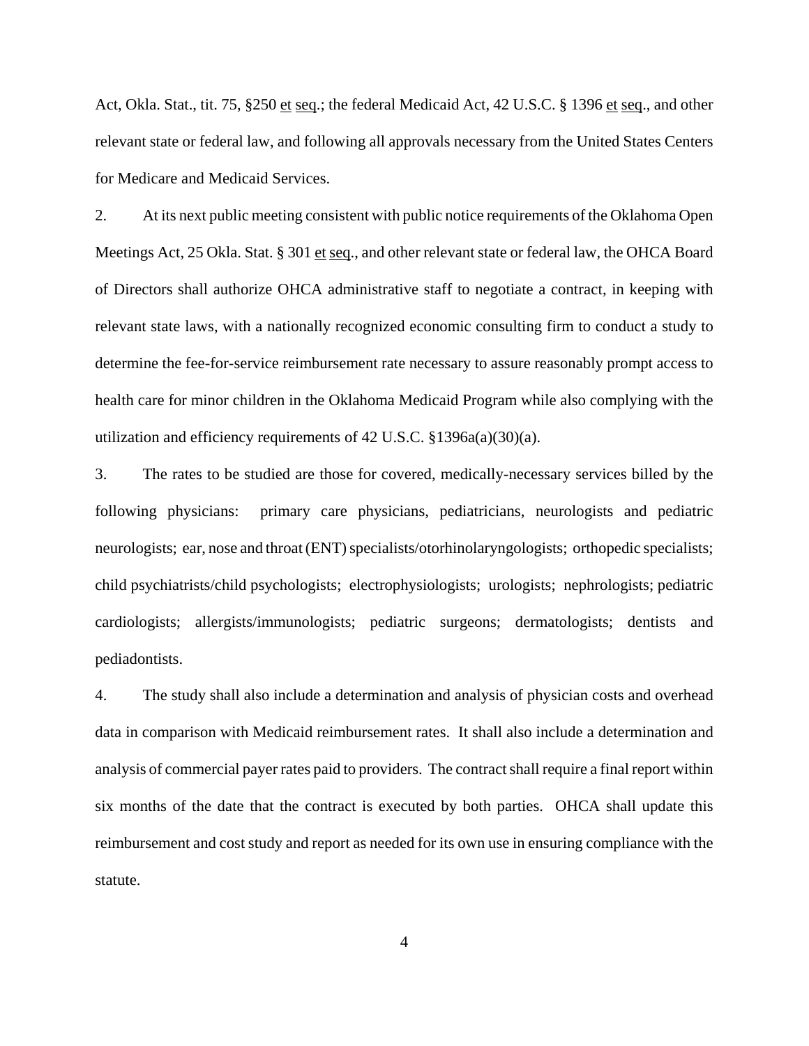Act, Okla. Stat., tit. 75, §250 et seq.; the federal Medicaid Act, 42 U.S.C. § 1396 et seq., and other relevant state or federal law, and following all approvals necessary from the United States Centers for Medicare and Medicaid Services.

2. At its next public meeting consistent with public notice requirements of the Oklahoma Open Meetings Act, 25 Okla. Stat. § 301 et seq., and other relevant state or federal law, the OHCA Board of Directors shall authorize OHCA administrative staff to negotiate a contract, in keeping with relevant state laws, with a nationally recognized economic consulting firm to conduct a study to determine the fee-for-service reimbursement rate necessary to assure reasonably prompt access to health care for minor children in the Oklahoma Medicaid Program while also complying with the utilization and efficiency requirements of 42 U.S.C. §1396a(a)(30)(a).

3. The rates to be studied are those for covered, medically-necessary services billed by the following physicians: primary care physicians, pediatricians, neurologists and pediatric neurologists; ear, nose and throat (ENT) specialists/otorhinolaryngologists; orthopedic specialists; child psychiatrists/child psychologists; electrophysiologists; urologists; nephrologists; pediatric cardiologists; allergists/immunologists; pediatric surgeons; dermatologists; dentists and pediadontists.

4. The study shall also include a determination and analysis of physician costs and overhead data in comparison with Medicaid reimbursement rates. It shall also include a determination and analysis of commercial payer rates paid to providers. The contract shall require a final report within six months of the date that the contract is executed by both parties. OHCA shall update this reimbursement and cost study and report as needed for its own use in ensuring compliance with the statute.

4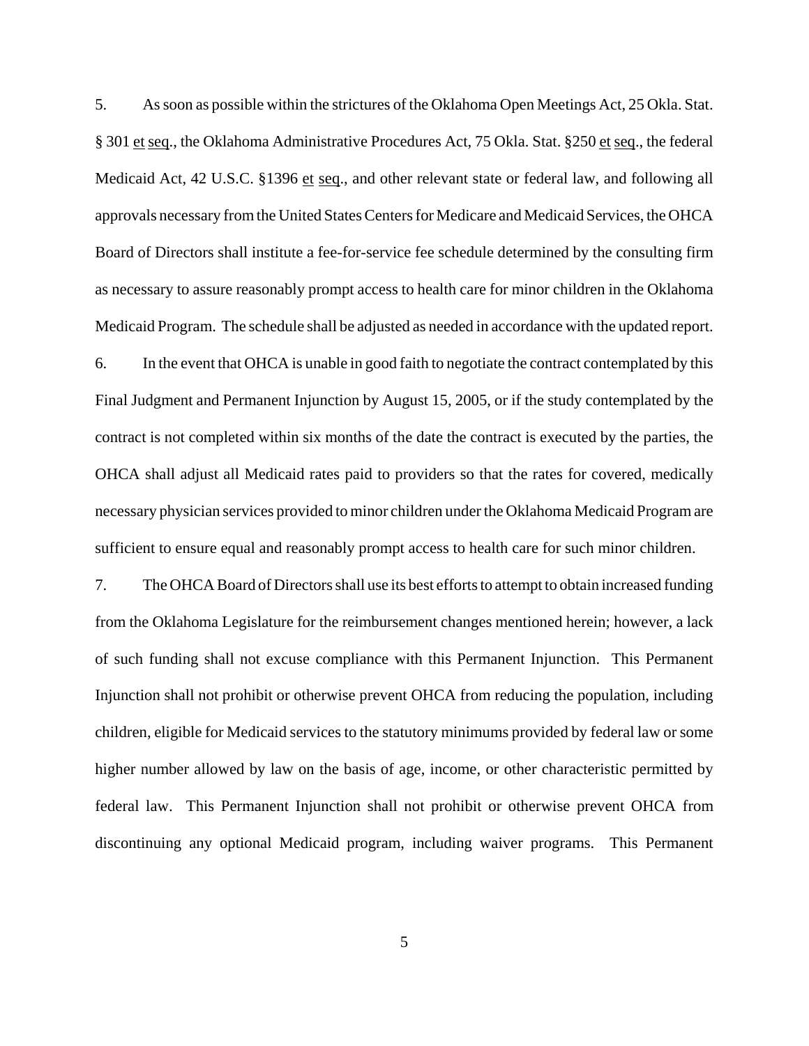5. As soon as possible within the strictures of the Oklahoma Open Meetings Act, 25 Okla. Stat. § 301 et seq., the Oklahoma Administrative Procedures Act, 75 Okla. Stat. § 250 et seq., the federal Medicaid Act, 42 U.S.C. §1396 et seq., and other relevant state or federal law, and following all approvals necessary from the United States Centers for Medicare and Medicaid Services, the OHCA Board of Directors shall institute a fee-for-service fee schedule determined by the consulting firm as necessary to assure reasonably prompt access to health care for minor children in the Oklahoma Medicaid Program. The schedule shall be adjusted as needed in accordance with the updated report. 6. In the event that OHCA is unable in good faith to negotiate the contract contemplated by this Final Judgment and Permanent Injunction by August 15, 2005, or if the study contemplated by the

contract is not completed within six months of the date the contract is executed by the parties, the OHCA shall adjust all Medicaid rates paid to providers so that the rates for covered, medically necessary physician services provided to minor children under the Oklahoma Medicaid Program are sufficient to ensure equal and reasonably prompt access to health care for such minor children.

7. The OHCA Board of Directors shall use its best efforts to attempt to obtain increased funding from the Oklahoma Legislature for the reimbursement changes mentioned herein; however, a lack of such funding shall not excuse compliance with this Permanent Injunction. This Permanent Injunction shall not prohibit or otherwise prevent OHCA from reducing the population, including children, eligible for Medicaid services to the statutory minimums provided by federal law or some higher number allowed by law on the basis of age, income, or other characteristic permitted by federal law. This Permanent Injunction shall not prohibit or otherwise prevent OHCA from discontinuing any optional Medicaid program, including waiver programs. This Permanent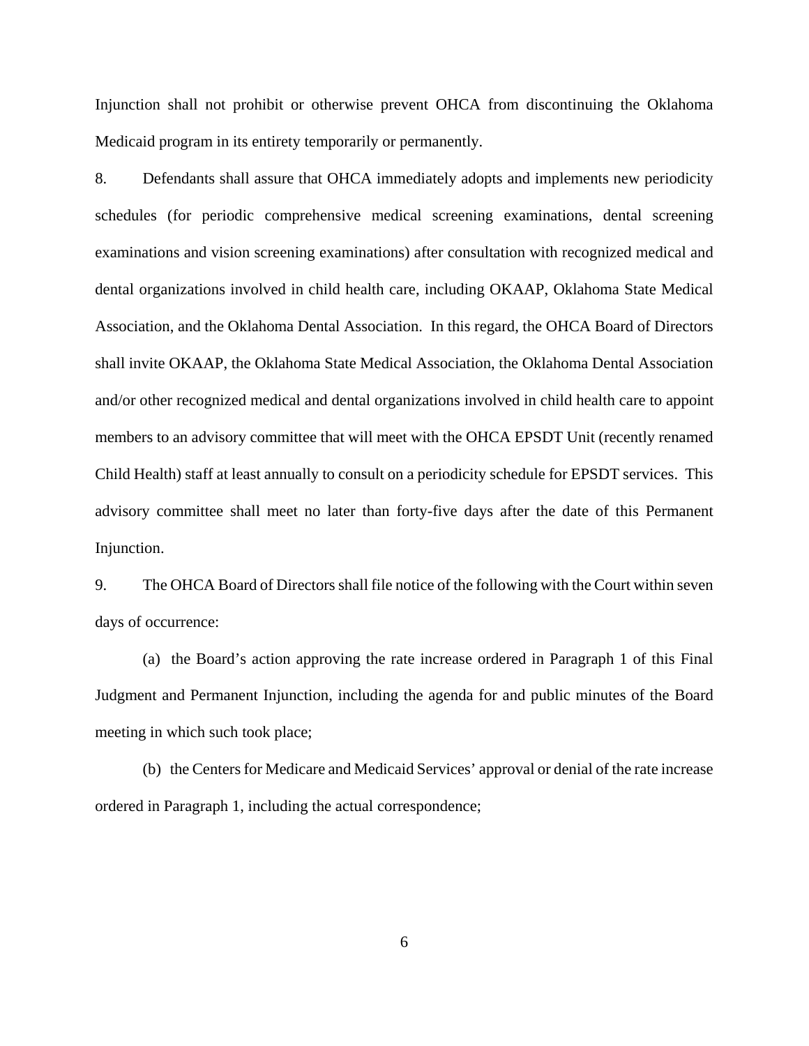Injunction shall not prohibit or otherwise prevent OHCA from discontinuing the Oklahoma Medicaid program in its entirety temporarily or permanently.

8. Defendants shall assure that OHCA immediately adopts and implements new periodicity schedules (for periodic comprehensive medical screening examinations, dental screening examinations and vision screening examinations) after consultation with recognized medical and dental organizations involved in child health care, including OKAAP, Oklahoma State Medical Association, and the Oklahoma Dental Association. In this regard, the OHCA Board of Directors shall invite OKAAP, the Oklahoma State Medical Association, the Oklahoma Dental Association and/or other recognized medical and dental organizations involved in child health care to appoint members to an advisory committee that will meet with the OHCA EPSDT Unit (recently renamed Child Health) staff at least annually to consult on a periodicity schedule for EPSDT services. This advisory committee shall meet no later than forty-five days after the date of this Permanent Injunction.

9. The OHCA Board of Directors shall file notice of the following with the Court within seven days of occurrence:

(a) the Board's action approving the rate increase ordered in Paragraph 1 of this Final Judgment and Permanent Injunction, including the agenda for and public minutes of the Board meeting in which such took place;

(b) the Centers for Medicare and Medicaid Services' approval or denial of the rate increase ordered in Paragraph 1, including the actual correspondence;

6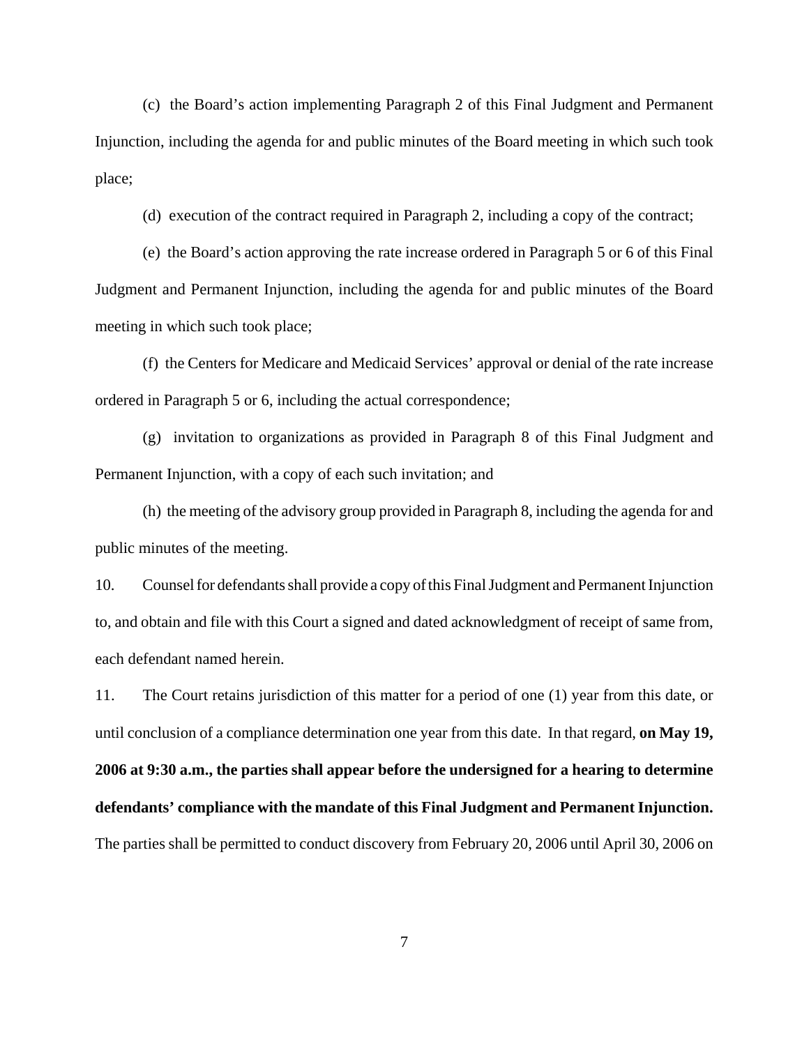(c) the Board's action implementing Paragraph 2 of this Final Judgment and Permanent Injunction, including the agenda for and public minutes of the Board meeting in which such took place;

(d) execution of the contract required in Paragraph 2, including a copy of the contract;

(e) the Board's action approving the rate increase ordered in Paragraph 5 or 6 of this Final Judgment and Permanent Injunction, including the agenda for and public minutes of the Board meeting in which such took place;

(f) the Centers for Medicare and Medicaid Services' approval or denial of the rate increase ordered in Paragraph 5 or 6, including the actual correspondence;

(g) invitation to organizations as provided in Paragraph 8 of this Final Judgment and Permanent Injunction, with a copy of each such invitation; and

(h) the meeting of the advisory group provided in Paragraph 8, including the agenda for and public minutes of the meeting.

10. Counsel for defendants shall provide a copy of this Final Judgment and Permanent Injunction to, and obtain and file with this Court a signed and dated acknowledgment of receipt of same from, each defendant named herein.

11. The Court retains jurisdiction of this matter for a period of one (1) year from this date, or until conclusion of a compliance determination one year from this date. In that regard, **on May 19, 2006 at 9:30 a.m., the parties shall appear before the undersigned for a hearing to determine defendants' compliance with the mandate of this Final Judgment and Permanent Injunction.** The parties shall be permitted to conduct discovery from February 20, 2006 until April 30, 2006 on

7